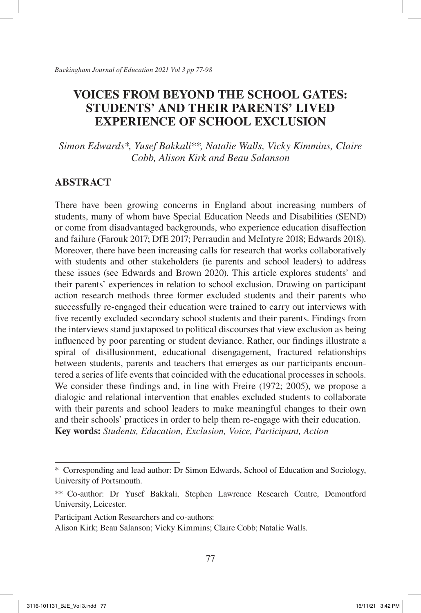*Simon Edwards\*, Yusef Bakkali\*\*, Natalie Walls, Vicky Kimmins, Claire Cobb, Alison Kirk and Beau Salanson*

## **ABSTRACT**

There have been growing concerns in England about increasing numbers of students, many of whom have Special Education Needs and Disabilities (SEND) or come from disadvantaged backgrounds, who experience education disaffection and failure (Farouk 2017; DfE 2017; Perraudin and McIntyre 2018; Edwards 2018). Moreover, there have been increasing calls for research that works collaboratively with students and other stakeholders (ie parents and school leaders) to address these issues (see Edwards and Brown 2020). This article explores students' and their parents' experiences in relation to school exclusion. Drawing on participant action research methods three former excluded students and their parents who successfully re-engaged their education were trained to carry out interviews with five recently excluded secondary school students and their parents. Findings from the interviews stand juxtaposed to political discourses that view exclusion as being influenced by poor parenting or student deviance. Rather, our findings illustrate a spiral of disillusionment, educational disengagement, fractured relationships between students, parents and teachers that emerges as our participants encountered a series of life events that coincided with the educational processes in schools. We consider these findings and, in line with Freire (1972; 2005), we propose a dialogic and relational intervention that enables excluded students to collaborate with their parents and school leaders to make meaningful changes to their own and their schools' practices in order to help them re-engage with their education. **Key words:** *Students, Education, Exclusion, Voice, Participant, Action*

<sup>\*</sup> Corresponding and lead author: Dr Simon Edwards, School of Education and Sociology, University of Portsmouth.

<sup>\*\*</sup> Co-author: Dr Yusef Bakkali, Stephen Lawrence Research Centre, Demontford University, Leicester.

Participant Action Researchers and co-authors:

Alison Kirk; Beau Salanson; Vicky Kimmins; Claire Cobb; Natalie Walls.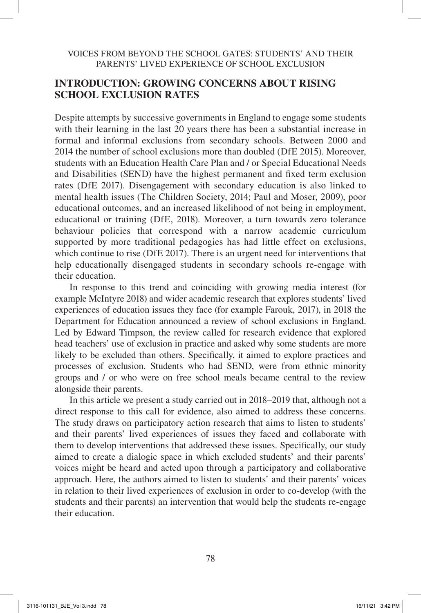## **INTRODUCTION: GROWING CONCERNS ABOUT RISING SCHOOL EXCLUSION RATES**

Despite attempts by successive governments in England to engage some students with their learning in the last 20 years there has been a substantial increase in formal and informal exclusions from secondary schools. Between 2000 and 2014 the number of school exclusions more than doubled (DfE 2015). Moreover, students with an Education Health Care Plan and / or Special Educational Needs and Disabilities (SEND) have the highest permanent and fixed term exclusion rates (DfE 2017). Disengagement with secondary education is also linked to mental health issues (The Children Society, 2014; Paul and Moser, 2009), poor educational outcomes, and an increased likelihood of not being in employment, educational or training (DfE, 2018). Moreover, a turn towards zero tolerance behaviour policies that correspond with a narrow academic curriculum supported by more traditional pedagogies has had little effect on exclusions, which continue to rise (DfE 2017). There is an urgent need for interventions that help educationally disengaged students in secondary schools re-engage with their education.

In response to this trend and coinciding with growing media interest (for example McIntyre 2018) and wider academic research that explores students' lived experiences of education issues they face (for example Farouk, 2017), in 2018 the Department for Education announced a review of school exclusions in England. Led by Edward Timpson, the review called for research evidence that explored head teachers' use of exclusion in practice and asked why some students are more likely to be excluded than others. Specifically, it aimed to explore practices and processes of exclusion. Students who had SEND, were from ethnic minority groups and / or who were on free school meals became central to the review alongside their parents.

In this article we present a study carried out in 2018–2019 that, although not a direct response to this call for evidence, also aimed to address these concerns. The study draws on participatory action research that aims to listen to students' and their parents' lived experiences of issues they faced and collaborate with them to develop interventions that addressed these issues. Specifically, our study aimed to create a dialogic space in which excluded students' and their parents' voices might be heard and acted upon through a participatory and collaborative approach. Here, the authors aimed to listen to students' and their parents' voices in relation to their lived experiences of exclusion in order to co-develop (with the students and their parents) an intervention that would help the students re-engage their education.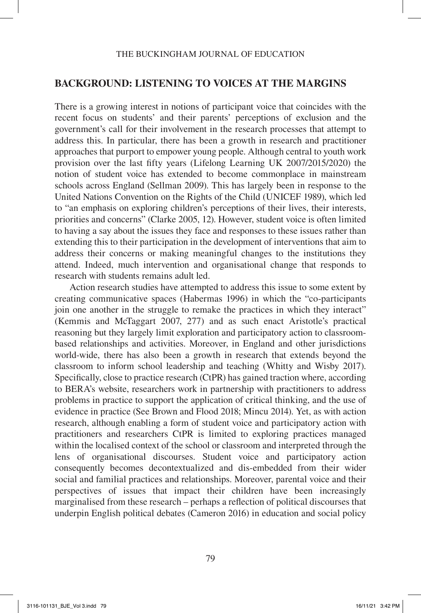## **BACKGROUND: LISTENING TO VOICES AT THE MARGINS**

There is a growing interest in notions of participant voice that coincides with the recent focus on students' and their parents' perceptions of exclusion and the government's call for their involvement in the research processes that attempt to address this. In particular, there has been a growth in research and practitioner approaches that purport to empower young people. Although central to youth work provision over the last fifty years (Lifelong Learning UK 2007/2015/2020) the notion of student voice has extended to become commonplace in mainstream schools across England (Sellman 2009). This has largely been in response to the United Nations Convention on the Rights of the Child (UNICEF 1989), which led to "an emphasis on exploring children's perceptions of their lives, their interests, priorities and concerns" (Clarke 2005, 12). However, student voice is often limited to having a say about the issues they face and responses to these issues rather than extending this to their participation in the development of interventions that aim to address their concerns or making meaningful changes to the institutions they attend. Indeed, much intervention and organisational change that responds to research with students remains adult led.

Action research studies have attempted to address this issue to some extent by creating communicative spaces (Habermas 1996) in which the "co-participants join one another in the struggle to remake the practices in which they interact" (Kemmis and McTaggart 2007, 277) and as such enact Aristotle's practical reasoning but they largely limit exploration and participatory action to classroombased relationships and activities. Moreover, in England and other jurisdictions world-wide, there has also been a growth in research that extends beyond the classroom to inform school leadership and teaching (Whitty and Wisby 2017). Specifically, close to practice research (CtPR) has gained traction where, according to BERA's website, researchers work in partnership with practitioners to address problems in practice to support the application of critical thinking, and the use of evidence in practice (See Brown and Flood 2018; Mincu 2014). Yet, as with action research, although enabling a form of student voice and participatory action with practitioners and researchers CtPR is limited to exploring practices managed within the localised context of the school or classroom and interpreted through the lens of organisational discourses. Student voice and participatory action consequently becomes decontextualized and dis-embedded from their wider social and familial practices and relationships. Moreover, parental voice and their perspectives of issues that impact their children have been increasingly marginalised from these research – perhaps a reflection of political discourses that underpin English political debates (Cameron 2016) in education and social policy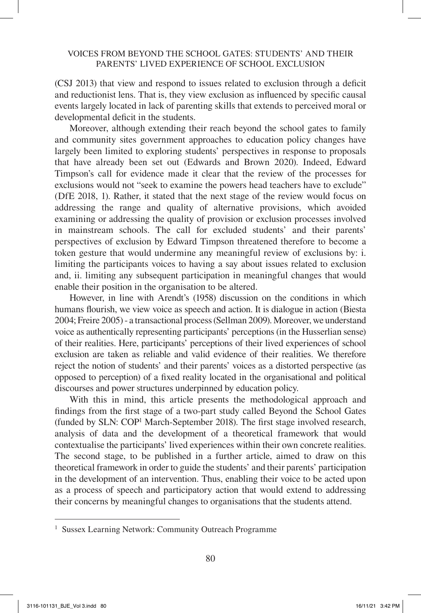(CSJ 2013) that view and respond to issues related to exclusion through a deficit and reductionist lens. That is, they view exclusion as influenced by specific causal events largely located in lack of parenting skills that extends to perceived moral or developmental deficit in the students.

Moreover, although extending their reach beyond the school gates to family and community sites government approaches to education policy changes have largely been limited to exploring students' perspectives in response to proposals that have already been set out (Edwards and Brown 2020). Indeed, Edward Timpson's call for evidence made it clear that the review of the processes for exclusions would not "seek to examine the powers head teachers have to exclude" (DfE 2018, 1). Rather, it stated that the next stage of the review would focus on addressing the range and quality of alternative provisions, which avoided examining or addressing the quality of provision or exclusion processes involved in mainstream schools. The call for excluded students' and their parents' perspectives of exclusion by Edward Timpson threatened therefore to become a token gesture that would undermine any meaningful review of exclusions by: i. limiting the participants voices to having a say about issues related to exclusion and, ii. limiting any subsequent participation in meaningful changes that would enable their position in the organisation to be altered.

However, in line with Arendt's (1958) discussion on the conditions in which humans flourish, we view voice as speech and action. It is dialogue in action (Biesta 2004; Freire 2005) - a transactional process (Sellman 2009). Moreover, we understand voice as authentically representing participants' perceptions (in the Husserlian sense) of their realities. Here, participants' perceptions of their lived experiences of school exclusion are taken as reliable and valid evidence of their realities. We therefore reject the notion of students' and their parents' voices as a distorted perspective (as opposed to perception) of a fixed reality located in the organisational and political discourses and power structures underpinned by education policy.

With this in mind, this article presents the methodological approach and findings from the first stage of a two-part study called Beyond the School Gates (funded by SLN: COP1 March-September 2018). The first stage involved research, analysis of data and the development of a theoretical framework that would contextualise the participants' lived experiences within their own concrete realities. The second stage, to be published in a further article, aimed to draw on this theoretical framework in order to guide the students' and their parents' participation in the development of an intervention. Thus, enabling their voice to be acted upon as a process of speech and participatory action that would extend to addressing their concerns by meaningful changes to organisations that the students attend.

<sup>&</sup>lt;sup>1</sup> Sussex Learning Network: Community Outreach Programme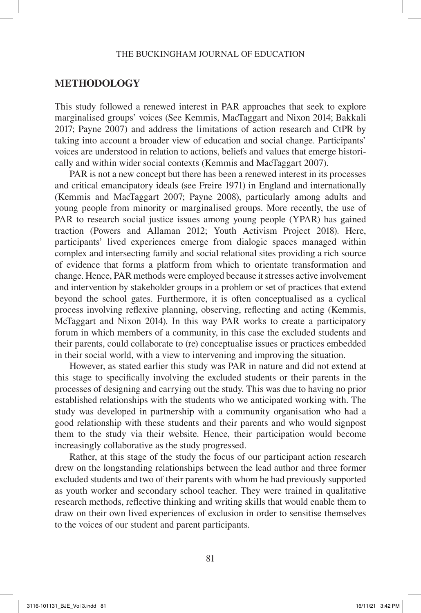### **METHODOLOGY**

This study followed a renewed interest in PAR approaches that seek to explore marginalised groups' voices (See Kemmis, MacTaggart and Nixon 2014; Bakkali 2017; Payne 2007) and address the limitations of action research and CtPR by taking into account a broader view of education and social change. Participants' voices are understood in relation to actions, beliefs and values that emerge historically and within wider social contexts (Kemmis and MacTaggart 2007).

PAR is not a new concept but there has been a renewed interest in its processes and critical emancipatory ideals (see Freire 1971) in England and internationally (Kemmis and MacTaggart 2007; Payne 2008), particularly among adults and young people from minority or marginalised groups. More recently, the use of PAR to research social justice issues among young people (YPAR) has gained traction (Powers and Allaman 2012; Youth Activism Project 2018). Here, participants' lived experiences emerge from dialogic spaces managed within complex and intersecting family and social relational sites providing a rich source of evidence that forms a platform from which to orientate transformation and change. Hence, PAR methods were employed because it stresses active involvement and intervention by stakeholder groups in a problem or set of practices that extend beyond the school gates. Furthermore, it is often conceptualised as a cyclical process involving reflexive planning, observing, reflecting and acting (Kemmis, McTaggart and Nixon 2014). In this way PAR works to create a participatory forum in which members of a community, in this case the excluded students and their parents, could collaborate to (re) conceptualise issues or practices embedded in their social world, with a view to intervening and improving the situation.

However, as stated earlier this study was PAR in nature and did not extend at this stage to specifically involving the excluded students or their parents in the processes of designing and carrying out the study. This was due to having no prior established relationships with the students who we anticipated working with. The study was developed in partnership with a community organisation who had a good relationship with these students and their parents and who would signpost them to the study via their website. Hence, their participation would become increasingly collaborative as the study progressed.

Rather, at this stage of the study the focus of our participant action research drew on the longstanding relationships between the lead author and three former excluded students and two of their parents with whom he had previously supported as youth worker and secondary school teacher. They were trained in qualitative research methods, reflective thinking and writing skills that would enable them to draw on their own lived experiences of exclusion in order to sensitise themselves to the voices of our student and parent participants.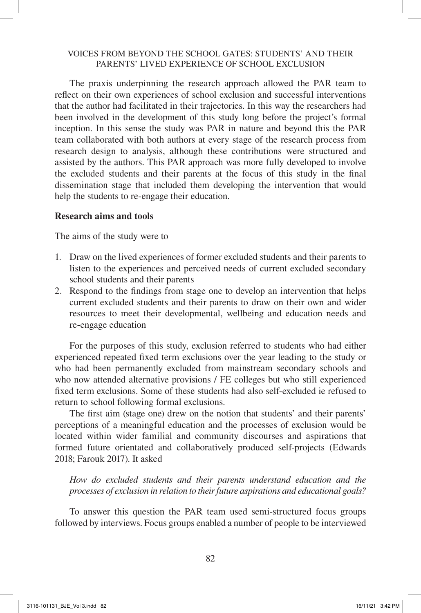The praxis underpinning the research approach allowed the PAR team to reflect on their own experiences of school exclusion and successful interventions that the author had facilitated in their trajectories. In this way the researchers had been involved in the development of this study long before the project's formal inception. In this sense the study was PAR in nature and beyond this the PAR team collaborated with both authors at every stage of the research process from research design to analysis, although these contributions were structured and assisted by the authors. This PAR approach was more fully developed to involve the excluded students and their parents at the focus of this study in the final dissemination stage that included them developing the intervention that would help the students to re-engage their education.

#### **Research aims and tools**

The aims of the study were to

- 1. Draw on the lived experiences of former excluded students and their parents to listen to the experiences and perceived needs of current excluded secondary school students and their parents
- 2. Respond to the findings from stage one to develop an intervention that helps current excluded students and their parents to draw on their own and wider resources to meet their developmental, wellbeing and education needs and re-engage education

For the purposes of this study, exclusion referred to students who had either experienced repeated fixed term exclusions over the year leading to the study or who had been permanently excluded from mainstream secondary schools and who now attended alternative provisions / FE colleges but who still experienced fixed term exclusions. Some of these students had also self-excluded ie refused to return to school following formal exclusions.

The first aim (stage one) drew on the notion that students' and their parents' perceptions of a meaningful education and the processes of exclusion would be located within wider familial and community discourses and aspirations that formed future orientated and collaboratively produced self-projects (Edwards 2018; Farouk 2017). It asked

*How do excluded students and their parents understand education and the processes of exclusion in relation to their future aspirations and educational goals?*

To answer this question the PAR team used semi-structured focus groups followed by interviews. Focus groups enabled a number of people to be interviewed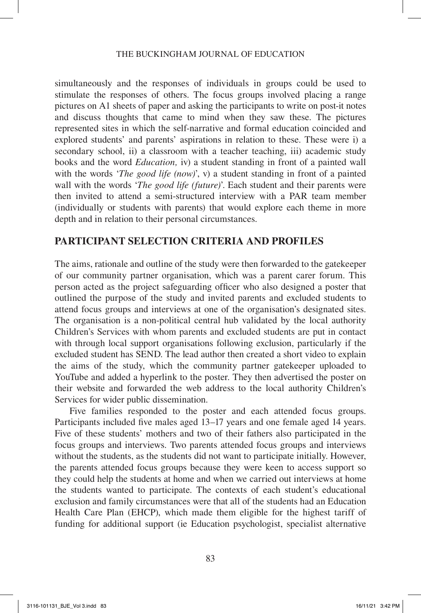#### THE BUCKINGHAM JOURNAL OF EDUCATION

simultaneously and the responses of individuals in groups could be used to stimulate the responses of others. The focus groups involved placing a range pictures on A1 sheets of paper and asking the participants to write on post-it notes and discuss thoughts that came to mind when they saw these. The pictures represented sites in which the self-narrative and formal education coincided and explored students' and parents' aspirations in relation to these. These were i) a secondary school, ii) a classroom with a teacher teaching, iii) academic study books and the word *Education,* iv) a student standing in front of a painted wall with the words '*The good life (now)*', v) a student standing in front of a painted wall with the words '*The good life (future)*'. Each student and their parents were then invited to attend a semi-structured interview with a PAR team member (individually or students with parents) that would explore each theme in more depth and in relation to their personal circumstances.

### **PARTICIPANT SELECTION CRITERIA AND PROFILES**

The aims, rationale and outline of the study were then forwarded to the gatekeeper of our community partner organisation, which was a parent carer forum. This person acted as the project safeguarding officer who also designed a poster that outlined the purpose of the study and invited parents and excluded students to attend focus groups and interviews at one of the organisation's designated sites. The organisation is a non-political central hub validated by the local authority Children's Services with whom parents and excluded students are put in contact with through local support organisations following exclusion, particularly if the excluded student has SEND. The lead author then created a short video to explain the aims of the study, which the community partner gatekeeper uploaded to YouTube and added a hyperlink to the poster. They then advertised the poster on their website and forwarded the web address to the local authority Children's Services for wider public dissemination.

Five families responded to the poster and each attended focus groups. Participants included five males aged 13–17 years and one female aged 14 years. Five of these students' mothers and two of their fathers also participated in the focus groups and interviews. Two parents attended focus groups and interviews without the students, as the students did not want to participate initially. However, the parents attended focus groups because they were keen to access support so they could help the students at home and when we carried out interviews at home the students wanted to participate. The contexts of each student's educational exclusion and family circumstances were that all of the students had an Education Health Care Plan (EHCP), which made them eligible for the highest tariff of funding for additional support (ie Education psychologist, specialist alternative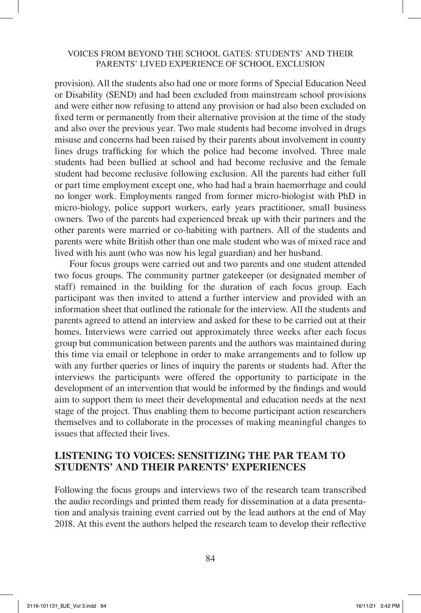provision). All the students also had one or more forms of Special Education Need or Disability (SEND) and had been excluded from mainstream school provisions and were either now refusing to attend any provision or had also been excluded on fixed term or permanently from their alternative provision at the time of the study and also over the previous year. Two male students had become involved in drugs misuse and concerns had been raised by their parents about involvement in county lines drugs trafficking for which the police had become involved. Three male students had been bullied at school and had become reclusive and the female student had become reclusive following exclusion. All the parents had either full or part time employment except one, who had had a brain haemorrhage and could no longer work. Employments ranged from former micro-biologist with PhD in micro-biology, police support workers, early years practitioner, small business owners. Two of the parents had experienced break up with their partners and the other parents were married or co-habiting with partners. All of the students and parents were white British other than one male student who was of mixed race and lived with his aunt (who was now his legal guardian) and her husband.

Four focus groups were carried out and two parents and one student attended two focus groups. The community partner gatekeeper (or designated member of staff) remained in the building for the duration of each focus group. Each participant was then invited to attend a further interview and provided with an information sheet that outlined the rationale for the interview. All the students and parents agreed to attend an interview and asked for these to be carried out at their homes. Interviews were carried out approximately three weeks after each focus group but communication between parents and the authors was maintained during this time via email or telephone in order to make arrangements and to follow up with any further queries or lines of inquiry the parents or students had. After the interviews the participants were offered the opportunity to participate in the development of an intervention that would be informed by the findings and would aim to support them to meet their developmental and education needs at the next stage of the project. Thus enabling them to become participant action researchers themselves and to collaborate in the processes of making meaningful changes to issues that affected their lives.

### **LISTENING TO VOICES: SENSITIZING THE PAR TEAM TO STUDENTS' AND THEIR PARENTS' EXPERIENCES**

Following the focus groups and interviews two of the research team transcribed the audio recordings and printed them ready for dissemination at a data presentation and analysis training event carried out by the lead authors at the end of May 2018. At this event the authors helped the research team to develop their reflective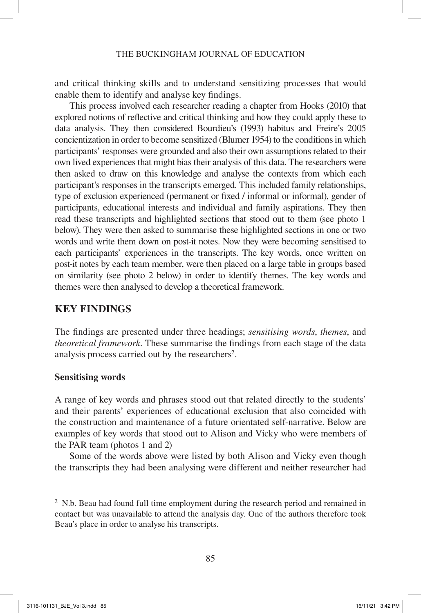and critical thinking skills and to understand sensitizing processes that would enable them to identify and analyse key findings.

This process involved each researcher reading a chapter from Hooks (2010) that explored notions of reflective and critical thinking and how they could apply these to data analysis. They then considered Bourdieu's (1993) habitus and Freire's 2005 concientization in order to become sensitized (Blumer 1954) to the conditions in which participants' responses were grounded and also their own assumptions related to their own lived experiences that might bias their analysis of this data. The researchers were then asked to draw on this knowledge and analyse the contexts from which each participant's responses in the transcripts emerged. This included family relationships, type of exclusion experienced (permanent or fixed / informal or informal), gender of participants, educational interests and individual and family aspirations. They then read these transcripts and highlighted sections that stood out to them (see photo 1 below). They were then asked to summarise these highlighted sections in one or two words and write them down on post-it notes. Now they were becoming sensitised to each participants' experiences in the transcripts. The key words, once written on post-it notes by each team member, were then placed on a large table in groups based on similarity (see photo 2 below) in order to identify themes. The key words and themes were then analysed to develop a theoretical framework.

## **KEY FINDINGS**

The findings are presented under three headings; *sensitising words*, *themes*, and *theoretical framework*. These summarise the findings from each stage of the data analysis process carried out by the researchers<sup>2</sup>.

### **Sensitising words**

A range of key words and phrases stood out that related directly to the students' and their parents' experiences of educational exclusion that also coincided with the construction and maintenance of a future orientated self-narrative. Below are examples of key words that stood out to Alison and Vicky who were members of the PAR team (photos 1 and 2)

Some of the words above were listed by both Alison and Vicky even though the transcripts they had been analysing were different and neither researcher had

<sup>&</sup>lt;sup>2</sup> N.b. Beau had found full time employment during the research period and remained in contact but was unavailable to attend the analysis day. One of the authors therefore took Beau's place in order to analyse his transcripts.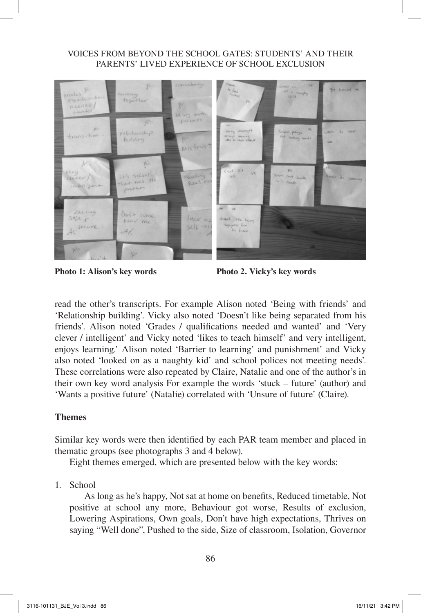

**Photo 1: Alison's key words Photo 2. Vicky's key words**

read the other's transcripts. For example Alison noted 'Being with friends' and 'Relationship building'. Vicky also noted 'Doesn't like being separated from his friends'. Alison noted 'Grades / qualifications needed and wanted' and 'Very clever / intelligent' and Vicky noted 'likes to teach himself' and very intelligent, enjoys learning.' Alison noted 'Barrier to learning' and punishment' and Vicky also noted 'looked on as a naughty kid' and school polices not meeting needs'. These correlations were also repeated by Claire, Natalie and one of the author's in their own key word analysis For example the words 'stuck – future' (author) and 'Wants a positive future' (Natalie) correlated with 'Unsure of future' (Claire).

## **Themes**

Similar key words were then identified by each PAR team member and placed in thematic groups (see photographs 3 and 4 below).

Eight themes emerged, which are presented below with the key words:

1. School

As long as he's happy, Not sat at home on benefits, Reduced timetable, Not positive at school any more, Behaviour got worse, Results of exclusion, Lowering Aspirations, Own goals, Don't have high expectations, Thrives on saying "Well done", Pushed to the side, Size of classroom, Isolation, Governor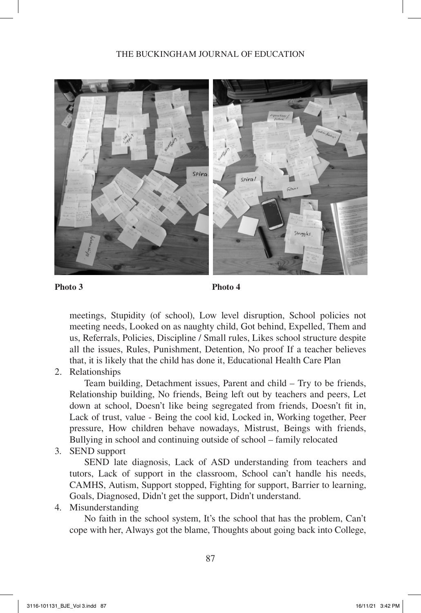### THE BUCKINGHAM JOURNAL OF EDUCATION



**Photo 3 Photo 4**

meetings, Stupidity (of school), Low level disruption, School policies not meeting needs, Looked on as naughty child, Got behind, Expelled, Them and us, Referrals, Policies, Discipline / Small rules, Likes school structure despite all the issues, Rules, Punishment, Detention, No proof If a teacher believes that, it is likely that the child has done it, Educational Health Care Plan

2. Relationships

Team building, Detachment issues, Parent and child – Try to be friends, Relationship building, No friends, Being left out by teachers and peers, Let down at school, Doesn't like being segregated from friends, Doesn't fit in, Lack of trust, value - Being the cool kid, Locked in, Working together, Peer pressure, How children behave nowadays, Mistrust, Beings with friends, Bullying in school and continuing outside of school – family relocated

3. SEND support

SEND late diagnosis, Lack of ASD understanding from teachers and tutors, Lack of support in the classroom, School can't handle his needs, CAMHS, Autism, Support stopped, Fighting for support, Barrier to learning, Goals, Diagnosed, Didn't get the support, Didn't understand.

4. Misunderstanding

No faith in the school system, It's the school that has the problem, Can't cope with her, Always got the blame, Thoughts about going back into College,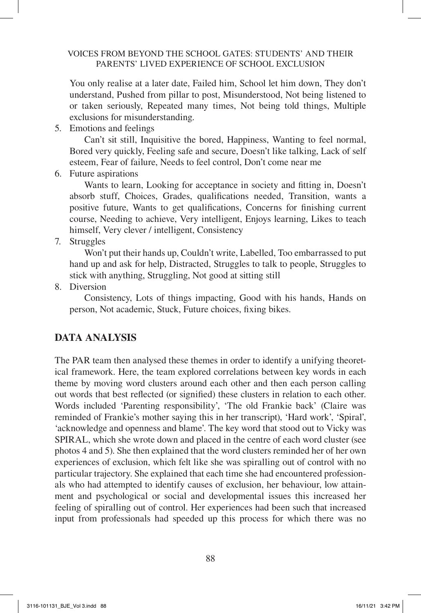You only realise at a later date, Failed him, School let him down, They don't understand, Pushed from pillar to post, Misunderstood, Not being listened to or taken seriously, Repeated many times, Not being told things, Multiple exclusions for misunderstanding.

5. Emotions and feelings

Can't sit still, Inquisitive the bored, Happiness, Wanting to feel normal, Bored very quickly, Feeling safe and secure, Doesn't like talking, Lack of self esteem, Fear of failure, Needs to feel control, Don't come near me

6. Future aspirations

Wants to learn, Looking for acceptance in society and fitting in, Doesn't absorb stuff, Choices, Grades, qualifications needed, Transition, wants a positive future, Wants to get qualifications, Concerns for finishing current course, Needing to achieve, Very intelligent, Enjoys learning, Likes to teach himself, Very clever / intelligent, Consistency

7. Struggles

Won't put their hands up, Couldn't write, Labelled, Too embarrassed to put hand up and ask for help, Distracted, Struggles to talk to people, Struggles to stick with anything, Struggling, Not good at sitting still

8. Diversion

Consistency, Lots of things impacting, Good with his hands, Hands on person, Not academic, Stuck, Future choices, fixing bikes.

# **DATA ANALYSIS**

The PAR team then analysed these themes in order to identify a unifying theoretical framework. Here, the team explored correlations between key words in each theme by moving word clusters around each other and then each person calling out words that best reflected (or signified) these clusters in relation to each other. Words included 'Parenting responsibility', 'The old Frankie back' (Claire was reminded of Frankie's mother saying this in her transcript), 'Hard work', 'Spiral', 'acknowledge and openness and blame'. The key word that stood out to Vicky was SPIRAL, which she wrote down and placed in the centre of each word cluster (see photos 4 and 5). She then explained that the word clusters reminded her of her own experiences of exclusion, which felt like she was spiralling out of control with no particular trajectory. She explained that each time she had encountered professionals who had attempted to identify causes of exclusion, her behaviour, low attainment and psychological or social and developmental issues this increased her feeling of spiralling out of control. Her experiences had been such that increased input from professionals had speeded up this process for which there was no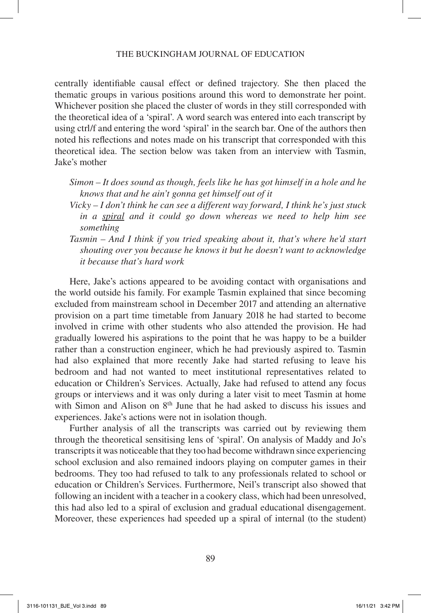centrally identifiable causal effect or defined trajectory. She then placed the thematic groups in various positions around this word to demonstrate her point. Whichever position she placed the cluster of words in they still corresponded with the theoretical idea of a 'spiral'. A word search was entered into each transcript by using ctrl/f and entering the word 'spiral' in the search bar. One of the authors then noted his reflections and notes made on his transcript that corresponded with this theoretical idea. The section below was taken from an interview with Tasmin, Jake's mother

- *Simon It does sound as though, feels like he has got himself in a hole and he knows that and he ain't gonna get himself out of it*
- *Vicky I don't think he can see a different way forward, I think he's just stuck in a spiral and it could go down whereas we need to help him see something*
- *Tasmin And I think if you tried speaking about it, that's where he'd start shouting over you because he knows it but he doesn't want to acknowledge it because that's hard work*

Here, Jake's actions appeared to be avoiding contact with organisations and the world outside his family. For example Tasmin explained that since becoming excluded from mainstream school in December 2017 and attending an alternative provision on a part time timetable from January 2018 he had started to become involved in crime with other students who also attended the provision. He had gradually lowered his aspirations to the point that he was happy to be a builder rather than a construction engineer, which he had previously aspired to. Tasmin had also explained that more recently Jake had started refusing to leave his bedroom and had not wanted to meet institutional representatives related to education or Children's Services. Actually, Jake had refused to attend any focus groups or interviews and it was only during a later visit to meet Tasmin at home with Simon and Alison on  $8<sup>th</sup>$  June that he had asked to discuss his issues and experiences. Jake's actions were not in isolation though.

Further analysis of all the transcripts was carried out by reviewing them through the theoretical sensitising lens of 'spiral'. On analysis of Maddy and Jo's transcripts it was noticeable that they too had become withdrawn since experiencing school exclusion and also remained indoors playing on computer games in their bedrooms. They too had refused to talk to any professionals related to school or education or Children's Services. Furthermore, Neil's transcript also showed that following an incident with a teacher in a cookery class, which had been unresolved, this had also led to a spiral of exclusion and gradual educational disengagement. Moreover, these experiences had speeded up a spiral of internal (to the student)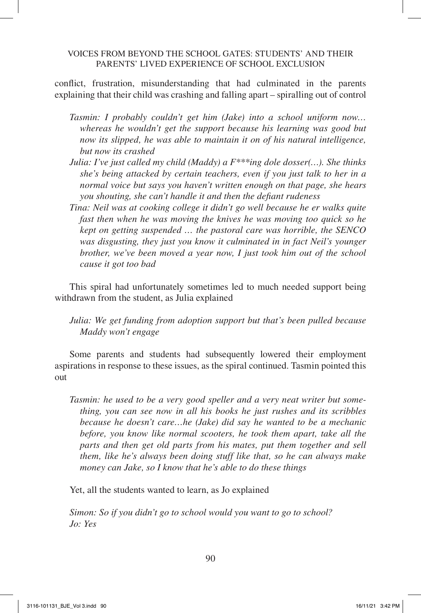conflict, frustration, misunderstanding that had culminated in the parents explaining that their child was crashing and falling apart – spiralling out of control

- *Tasmin: I probably couldn't get him (Jake) into a school uniform now… whereas he wouldn't get the support because his learning was good but now its slipped, he was able to maintain it on of his natural intelligence, but now its crashed*
- *Julia: I've just called my child (Maddy) a F\*\*\*ing dole dosser(…). She thinks she's being attacked by certain teachers, even if you just talk to her in a normal voice but says you haven't written enough on that page, she hears you shouting, she can't handle it and then the defiant rudeness*
- *Tina: Neil was at cooking college it didn't go well because he er walks quite fast then when he was moving the knives he was moving too quick so he kept on getting suspended … the pastoral care was horrible, the SENCO was disgusting, they just you know it culminated in in fact Neil's younger brother, we've been moved a year now, I just took him out of the school cause it got too bad*

This spiral had unfortunately sometimes led to much needed support being withdrawn from the student, as Julia explained

*Julia: We get funding from adoption support but that's been pulled because Maddy won't engage*

Some parents and students had subsequently lowered their employment aspirations in response to these issues, as the spiral continued. Tasmin pointed this out

*Tasmin: he used to be a very good speller and a very neat writer but something, you can see now in all his books he just rushes and its scribbles because he doesn't care…he (Jake) did say he wanted to be a mechanic before, you know like normal scooters, he took them apart, take all the parts and then get old parts from his mates, put them together and sell them, like he's always been doing stuff like that, so he can always make money can Jake, so I know that he's able to do these things*

Yet, all the students wanted to learn, as Jo explained

*Simon: So if you didn't go to school would you want to go to school? Jo: Yes*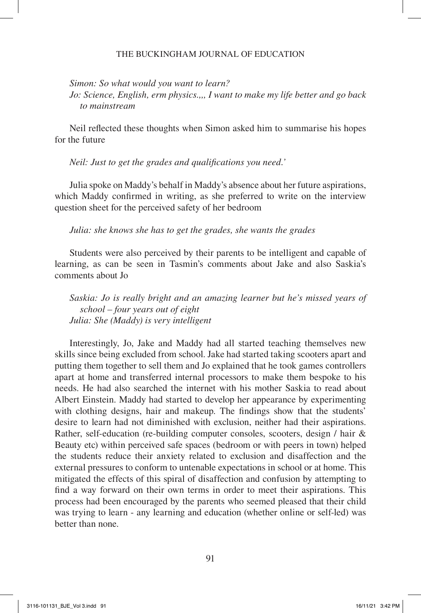#### THE BUCKINGHAM JOURNAL OF EDUCATION

*Simon: So what would you want to learn?*

*Jo: Science, English, erm physics.,,, I want to make my life better and go back to mainstream*

Neil reflected these thoughts when Simon asked him to summarise his hopes for the future

*Neil: Just to get the grades and qualifications you need.'*

Julia spoke on Maddy's behalf in Maddy's absence about her future aspirations, which Maddy confirmed in writing, as she preferred to write on the interview question sheet for the perceived safety of her bedroom

*Julia: she knows she has to get the grades, she wants the grades*

Students were also perceived by their parents to be intelligent and capable of learning, as can be seen in Tasmin's comments about Jake and also Saskia's comments about Jo

*Saskia: Jo is really bright and an amazing learner but he's missed years of school – four years out of eight Julia: She (Maddy) is very intelligent*

Interestingly, Jo, Jake and Maddy had all started teaching themselves new skills since being excluded from school. Jake had started taking scooters apart and putting them together to sell them and Jo explained that he took games controllers apart at home and transferred internal processors to make them bespoke to his needs. He had also searched the internet with his mother Saskia to read about Albert Einstein. Maddy had started to develop her appearance by experimenting with clothing designs, hair and makeup. The findings show that the students' desire to learn had not diminished with exclusion, neither had their aspirations. Rather, self-education (re-building computer consoles, scooters, design / hair & Beauty etc) within perceived safe spaces (bedroom or with peers in town) helped the students reduce their anxiety related to exclusion and disaffection and the external pressures to conform to untenable expectations in school or at home. This mitigated the effects of this spiral of disaffection and confusion by attempting to find a way forward on their own terms in order to meet their aspirations. This process had been encouraged by the parents who seemed pleased that their child was trying to learn - any learning and education (whether online or self-led) was better than none.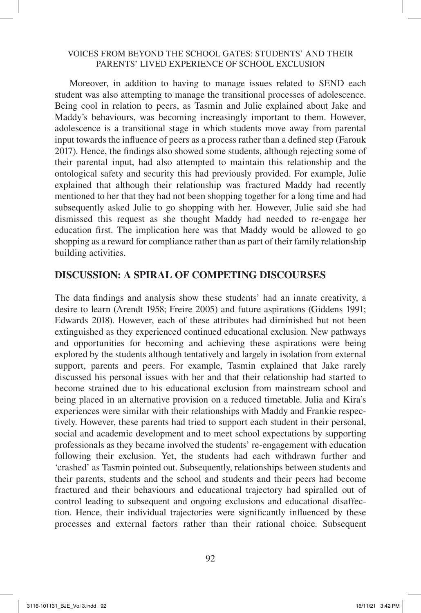Moreover, in addition to having to manage issues related to SEND each student was also attempting to manage the transitional processes of adolescence. Being cool in relation to peers, as Tasmin and Julie explained about Jake and Maddy's behaviours, was becoming increasingly important to them. However, adolescence is a transitional stage in which students move away from parental input towards the influence of peers as a process rather than a defined step (Farouk 2017). Hence, the findings also showed some students, although rejecting some of their parental input, had also attempted to maintain this relationship and the ontological safety and security this had previously provided. For example, Julie explained that although their relationship was fractured Maddy had recently mentioned to her that they had not been shopping together for a long time and had subsequently asked Julie to go shopping with her. However, Julie said she had dismissed this request as she thought Maddy had needed to re-engage her education first. The implication here was that Maddy would be allowed to go shopping as a reward for compliance rather than as part of their family relationship building activities.

## **DISCUSSION: A SPIRAL OF COMPETING DISCOURSES**

The data findings and analysis show these students' had an innate creativity, a desire to learn (Arendt 1958; Freire 2005) and future aspirations (Giddens 1991; Edwards 2018). However, each of these attributes had diminished but not been extinguished as they experienced continued educational exclusion. New pathways and opportunities for becoming and achieving these aspirations were being explored by the students although tentatively and largely in isolation from external support, parents and peers. For example, Tasmin explained that Jake rarely discussed his personal issues with her and that their relationship had started to become strained due to his educational exclusion from mainstream school and being placed in an alternative provision on a reduced timetable. Julia and Kira's experiences were similar with their relationships with Maddy and Frankie respectively. However, these parents had tried to support each student in their personal, social and academic development and to meet school expectations by supporting professionals as they became involved the students' re-engagement with education following their exclusion. Yet, the students had each withdrawn further and 'crashed' as Tasmin pointed out. Subsequently, relationships between students and their parents, students and the school and students and their peers had become fractured and their behaviours and educational trajectory had spiralled out of control leading to subsequent and ongoing exclusions and educational disaffection. Hence, their individual trajectories were significantly influenced by these processes and external factors rather than their rational choice. Subsequent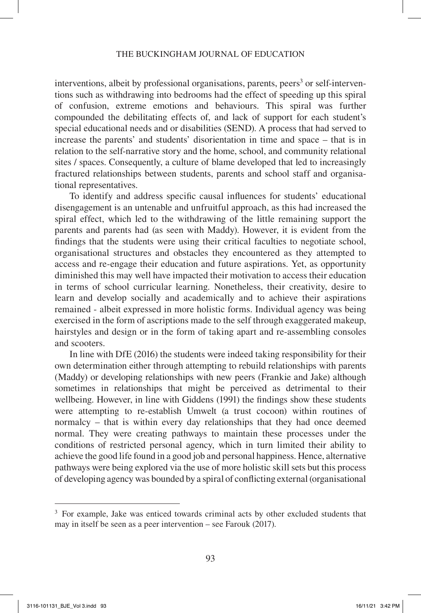interventions, albeit by professional organisations, parents, peers<sup>3</sup> or self-interventions such as withdrawing into bedrooms had the effect of speeding up this spiral of confusion, extreme emotions and behaviours. This spiral was further compounded the debilitating effects of, and lack of support for each student's special educational needs and or disabilities (SEND). A process that had served to increase the parents' and students' disorientation in time and space – that is in relation to the self-narrative story and the home, school, and community relational sites / spaces. Consequently, a culture of blame developed that led to increasingly fractured relationships between students, parents and school staff and organisational representatives.

To identify and address specific causal influences for students' educational disengagement is an untenable and unfruitful approach, as this had increased the spiral effect, which led to the withdrawing of the little remaining support the parents and parents had (as seen with Maddy). However, it is evident from the findings that the students were using their critical faculties to negotiate school, organisational structures and obstacles they encountered as they attempted to access and re-engage their education and future aspirations. Yet, as opportunity diminished this may well have impacted their motivation to access their education in terms of school curricular learning. Nonetheless, their creativity, desire to learn and develop socially and academically and to achieve their aspirations remained - albeit expressed in more holistic forms. Individual agency was being exercised in the form of ascriptions made to the self through exaggerated makeup, hairstyles and design or in the form of taking apart and re-assembling consoles and scooters.

In line with DfE (2016) the students were indeed taking responsibility for their own determination either through attempting to rebuild relationships with parents (Maddy) or developing relationships with new peers (Frankie and Jake) although sometimes in relationships that might be perceived as detrimental to their wellbeing. However, in line with Giddens (1991) the findings show these students were attempting to re-establish Umwelt (a trust cocoon) within routines of normalcy – that is within every day relationships that they had once deemed normal. They were creating pathways to maintain these processes under the conditions of restricted personal agency, which in turn limited their ability to achieve the good life found in a good job and personal happiness. Hence, alternative pathways were being explored via the use of more holistic skill sets but this process of developing agency was bounded by a spiral of conflicting external (organisational

<sup>&</sup>lt;sup>3</sup> For example, Jake was enticed towards criminal acts by other excluded students that may in itself be seen as a peer intervention – see Farouk (2017).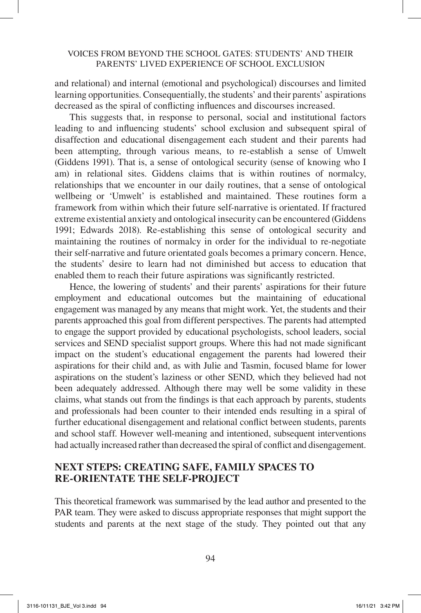and relational) and internal (emotional and psychological) discourses and limited learning opportunities. Consequentially, the students' and their parents' aspirations decreased as the spiral of conflicting influences and discourses increased.

This suggests that, in response to personal, social and institutional factors leading to and influencing students' school exclusion and subsequent spiral of disaffection and educational disengagement each student and their parents had been attempting, through various means, to re-establish a sense of Umwelt (Giddens 1991). That is, a sense of ontological security (sense of knowing who I am) in relational sites. Giddens claims that is within routines of normalcy, relationships that we encounter in our daily routines, that a sense of ontological wellbeing or 'Umwelt' is established and maintained. These routines form a framework from within which their future self-narrative is orientated. If fractured extreme existential anxiety and ontological insecurity can be encountered (Giddens 1991; Edwards 2018). Re-establishing this sense of ontological security and maintaining the routines of normalcy in order for the individual to re-negotiate their self-narrative and future orientated goals becomes a primary concern. Hence, the students' desire to learn had not diminished but access to education that enabled them to reach their future aspirations was significantly restricted.

Hence, the lowering of students' and their parents' aspirations for their future employment and educational outcomes but the maintaining of educational engagement was managed by any means that might work. Yet, the students and their parents approached this goal from different perspectives. The parents had attempted to engage the support provided by educational psychologists, school leaders, social services and SEND specialist support groups. Where this had not made significant impact on the student's educational engagement the parents had lowered their aspirations for their child and, as with Julie and Tasmin, focused blame for lower aspirations on the student's laziness or other SEND, which they believed had not been adequately addressed. Although there may well be some validity in these claims, what stands out from the findings is that each approach by parents, students and professionals had been counter to their intended ends resulting in a spiral of further educational disengagement and relational conflict between students, parents and school staff. However well-meaning and intentioned, subsequent interventions had actually increased rather than decreased the spiral of conflict and disengagement.

# **NEXT STEPS: CREATING SAFE, FAMILY SPACES TO RE-ORIENTATE THE SELF-PROJECT**

This theoretical framework was summarised by the lead author and presented to the PAR team. They were asked to discuss appropriate responses that might support the students and parents at the next stage of the study. They pointed out that any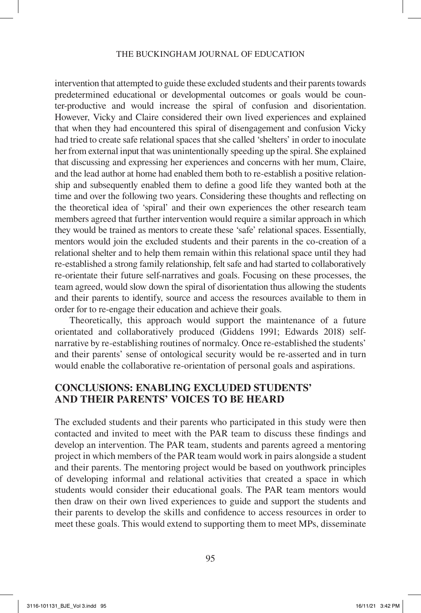#### THE BUCKINGHAM JOURNAL OF EDUCATION

intervention that attempted to guide these excluded students and their parents towards predetermined educational or developmental outcomes or goals would be counter-productive and would increase the spiral of confusion and disorientation. However, Vicky and Claire considered their own lived experiences and explained that when they had encountered this spiral of disengagement and confusion Vicky had tried to create safe relational spaces that she called 'shelters' in order to inoculate her from external input that was unintentionally speeding up the spiral. She explained that discussing and expressing her experiences and concerns with her mum, Claire, and the lead author at home had enabled them both to re-establish a positive relationship and subsequently enabled them to define a good life they wanted both at the time and over the following two years. Considering these thoughts and reflecting on the theoretical idea of 'spiral' and their own experiences the other research team members agreed that further intervention would require a similar approach in which they would be trained as mentors to create these 'safe' relational spaces. Essentially, mentors would join the excluded students and their parents in the co-creation of a relational shelter and to help them remain within this relational space until they had re-established a strong family relationship, felt safe and had started to collaboratively re-orientate their future self-narratives and goals. Focusing on these processes, the team agreed, would slow down the spiral of disorientation thus allowing the students and their parents to identify, source and access the resources available to them in order for to re-engage their education and achieve their goals.

Theoretically, this approach would support the maintenance of a future orientated and collaboratively produced (Giddens 1991; Edwards 2018) selfnarrative by re-establishing routines of normalcy. Once re-established the students' and their parents' sense of ontological security would be re-asserted and in turn would enable the collaborative re-orientation of personal goals and aspirations.

### **CONCLUSIONS: ENABLING EXCLUDED STUDENTS' AND THEIR PARENTS' VOICES TO BE HEARD**

The excluded students and their parents who participated in this study were then contacted and invited to meet with the PAR team to discuss these findings and develop an intervention. The PAR team, students and parents agreed a mentoring project in which members of the PAR team would work in pairs alongside a student and their parents. The mentoring project would be based on youthwork principles of developing informal and relational activities that created a space in which students would consider their educational goals. The PAR team mentors would then draw on their own lived experiences to guide and support the students and their parents to develop the skills and confidence to access resources in order to meet these goals. This would extend to supporting them to meet MPs, disseminate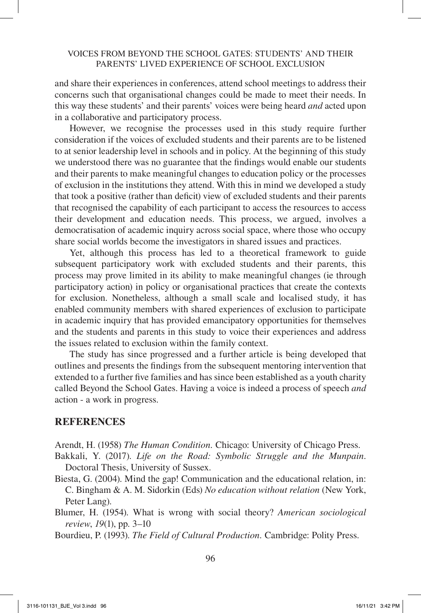and share their experiences in conferences, attend school meetings to address their concerns such that organisational changes could be made to meet their needs. In this way these students' and their parents' voices were being heard *and* acted upon in a collaborative and participatory process.

However, we recognise the processes used in this study require further consideration if the voices of excluded students and their parents are to be listened to at senior leadership level in schools and in policy. At the beginning of this study we understood there was no guarantee that the findings would enable our students and their parents to make meaningful changes to education policy or the processes of exclusion in the institutions they attend. With this in mind we developed a study that took a positive (rather than deficit) view of excluded students and their parents that recognised the capability of each participant to access the resources to access their development and education needs. This process, we argued, involves a democratisation of academic inquiry across social space, where those who occupy share social worlds become the investigators in shared issues and practices.

Yet, although this process has led to a theoretical framework to guide subsequent participatory work with excluded students and their parents, this process may prove limited in its ability to make meaningful changes (ie through participatory action) in policy or organisational practices that create the contexts for exclusion. Nonetheless, although a small scale and localised study, it has enabled community members with shared experiences of exclusion to participate in academic inquiry that has provided emancipatory opportunities for themselves and the students and parents in this study to voice their experiences and address the issues related to exclusion within the family context.

The study has since progressed and a further article is being developed that outlines and presents the findings from the subsequent mentoring intervention that extended to a further five families and has since been established as a youth charity called Beyond the School Gates. Having a voice is indeed a process of speech *and* action - a work in progress.

### **REFERENCES**

Arendt, H. (1958) *The Human Condition.* Chicago: University of Chicago Press.

Bakkali, Y. (2017). *Life on the Road: Symbolic Struggle and the Munpain*. Doctoral Thesis, University of Sussex.

- Biesta, G. (2004). Mind the gap! Communication and the educational relation, in: C. Bingham & A. M. Sidorkin (Eds) *No education without relation* (New York, Peter Lang).
- Blumer, H. (1954). What is wrong with social theory? *American sociological review*, *19*(1), pp. 3–10
- Bourdieu, P. (1993). *The Field of Cultural Production.* Cambridge: Polity Press.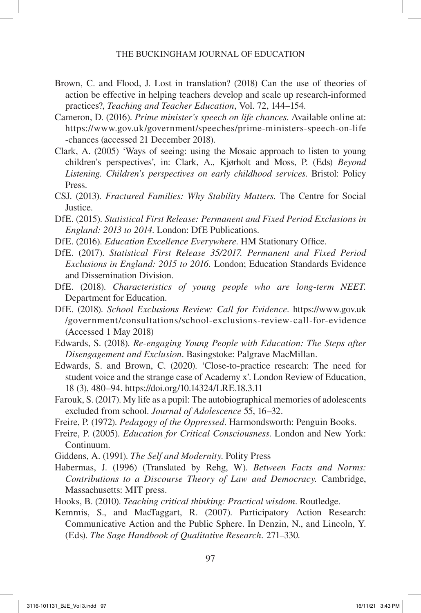- Brown, C. and Flood, J. Lost in translation? (2018) Can the use of theories of action be effective in helping teachers develop and scale up research-informed practices?, *Teaching and Teacher Education*, Vol. 72, 144–154.
- Cameron, D. (2016). *Prime minister's speech on life chances*. Available online at: https://www.gov.uk/government/speeches/prime-ministers-speech-on-life -chances (accessed 21 December 2018).
- Clark, A. (2005) 'Ways of seeing: using the Mosaic approach to listen to young children's perspectives', in: Clark, A., Kjørholt and Moss, P. (Eds) *Beyond Listening. Children's perspectives on early childhood services*. Bristol: Policy Press.
- CSJ. (2013). *Fractured Families: Why Stability Matters.* The Centre for Social **Justice**
- DfE. (2015). *Statistical First Release: Permanent and Fixed Period Exclusions in England: 2013 to 2014*. London: DfE Publications.
- DfE. (2016). *Education Excellence Everywhere*. HM Stationary Office.
- DfE. (2017). *Statistical First Release 35/2017. Permanent and Fixed Period Exclusions in England: 2015 to 2016.* London; Education Standards Evidence and Dissemination Division.
- DfE. (2018). *Characteristics of young people who are long-term NEET.*  Department for Education.
- DfE. (2018). *School Exclusions Review: Call for Evidence*. https://www.gov.uk /government/consultations/school-exclusions-review-call-for-evidence (Accessed 1 May 2018)
- Edwards, S. (2018). *Re-engaging Young People with Education: The Steps after Disengagement and Exclusion*. Basingstoke: Palgrave MacMillan.
- Edwards, S. and Brown, C. (2020). 'Close-to-practice research: The need for student voice and the strange case of Academy x'. London Review of Education, 18 (3), 480–94. https://doi.org/10.14324/LRE.18.3.11
- Farouk, S. (2017). My life as a pupil: The autobiographical memories of adolescents excluded from school. *Journal of Adolescence* 55, 16–32.
- Freire, P. (1972). *Pedagogy of the Oppressed*. Harmondsworth: Penguin Books.
- Freire, P. (2005). *Education for Critical Consciousness*. London and New York: Continuum.
- Giddens, A. (1991). *The Self and Modernity*. Polity Press
- Habermas, J. (1996) (Translated by Rehg, W). *Between Facts and Norms: Contributions to a Discourse Theory of Law and Democracy.* Cambridge, Massachusetts: MIT press.
- Hooks, B. (2010). *Teaching critical thinking: Practical wisdom*. Routledge.
- Kemmis, S., and MacTaggart, R. (2007). Participatory Action Research: Communicative Action and the Public Sphere. In Denzin, N., and Lincoln, Y. (Eds). *The Sage Handbook of Qualitative Research.* 271–330*.*